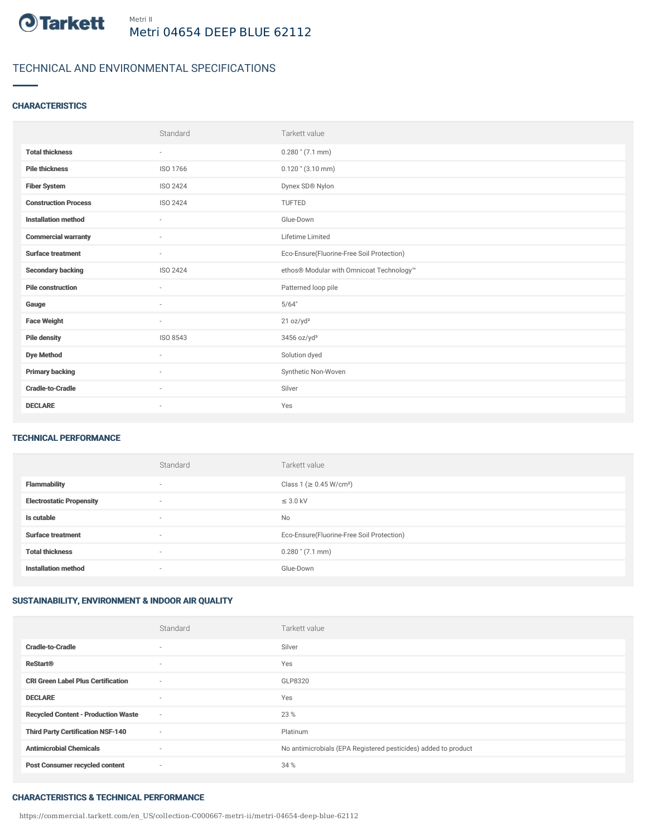

# TECHNICAL AND ENVIRONMENTAL SPECIFICATIONS

## **CHARACTERISTICS**

|                             | Standard                 | Tarkett value                             |
|-----------------------------|--------------------------|-------------------------------------------|
| <b>Total thickness</b>      | $\overline{\phantom{a}}$ | $0.280$ " $(7.1$ mm)                      |
| <b>Pile thickness</b>       | ISO 1766                 | $0.120$ " $(3.10$ mm)                     |
| <b>Fiber System</b>         | ISO 2424                 | Dynex SD® Nylon                           |
| <b>Construction Process</b> | ISO 2424                 | TUFTED                                    |
| <b>Installation method</b>  | $\sim$                   | Glue-Down                                 |
| <b>Commercial warranty</b>  | ٠                        | Lifetime Limited                          |
| <b>Surface treatment</b>    | $\sim$                   | Eco-Ensure(Fluorine-Free Soil Protection) |
| <b>Secondary backing</b>    | ISO 2424                 | ethos® Modular with Omnicoat Technology™  |
| <b>Pile construction</b>    | $\sim$                   | Patterned loop pile                       |
| Gauge                       | ٠                        | 5/64"                                     |
| <b>Face Weight</b>          | $\sim$                   | 21 oz/yd <sup>2</sup>                     |
| <b>Pile density</b>         | ISO 8543                 | 3456 oz/yd <sup>3</sup>                   |
| <b>Dye Method</b>           | ٠                        | Solution dyed                             |
| <b>Primary backing</b>      | ٠                        | Synthetic Non-Woven                       |
| <b>Cradle-to-Cradle</b>     | ٠                        | Silver                                    |
| <b>DECLARE</b>              | $\overline{\phantom{a}}$ | Yes                                       |

#### TECHNICAL PERFORMANCE

|                                 | Standard | Tarkett value                             |
|---------------------------------|----------|-------------------------------------------|
| <b>Flammability</b>             | $\sim$   | Class 1 (≥ 0.45 W/cm <sup>2</sup> )       |
| <b>Electrostatic Propensity</b> | $\sim$   | $\leq$ 3.0 kV                             |
| Is cutable                      | $\sim$   | No                                        |
| <b>Surface treatment</b>        | $\sim$   | Eco-Ensure(Fluorine-Free Soil Protection) |
| <b>Total thickness</b>          | $\sim$   | $0.280$ " $(7.1$ mm)                      |
| <b>Installation method</b>      | $\sim$   | Glue-Down                                 |

# SUSTAINABILITY, ENVIRONMENT & INDOOR AIR QUALITY

|                                            | Standard                 | Tarkett value                                                  |
|--------------------------------------------|--------------------------|----------------------------------------------------------------|
| <b>Cradle-to-Cradle</b>                    | $\overline{\phantom{a}}$ | Silver                                                         |
| <b>ReStart<sup>®</sup></b>                 | $\overline{\phantom{a}}$ | Yes                                                            |
| <b>CRI Green Label Plus Certification</b>  | $\sim$                   | GLP8320                                                        |
| <b>DECLARE</b>                             | $\overline{\phantom{a}}$ | Yes                                                            |
| <b>Recycled Content - Production Waste</b> | $\sim$                   | 23 %                                                           |
| <b>Third Party Certification NSF-140</b>   | $\sim$                   | Platinum                                                       |
| <b>Antimicrobial Chemicals</b>             | $\sim$                   | No antimicrobials (EPA Registered pesticides) added to product |
| <b>Post Consumer recycled content</b>      | $\sim$                   | 34 %                                                           |

### CHARACTERISTICS & TECHNICAL PERFORMANCE